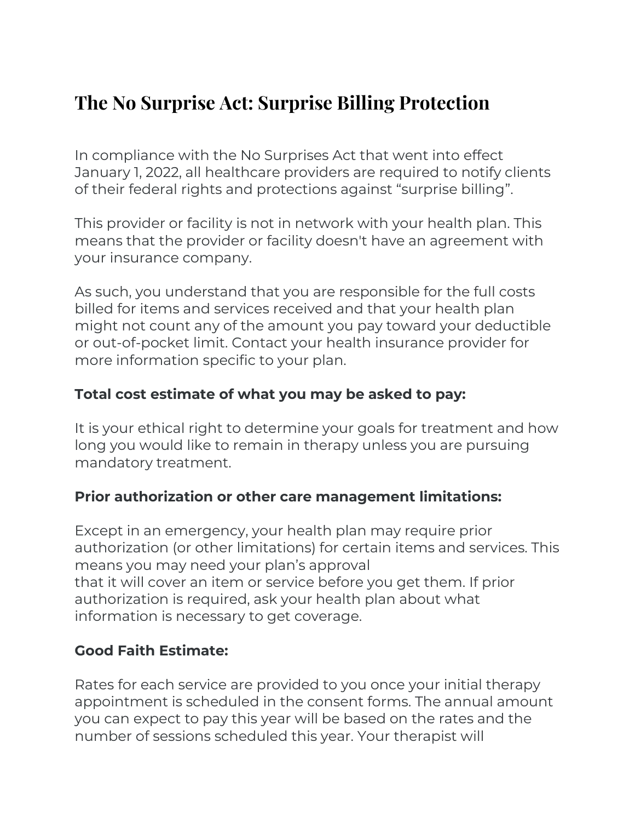## **The No Surprise Act: Surprise Billing Protection**

In compliance with the No Surprises Act that went into effect January 1, 2022, all healthcare providers are required to notify clients of their federal rights and protections against "surprise billing".

This provider or facility is not in network with your health plan. This means that the provider or facility doesn't have an agreement with your insurance company.

As such, you understand that you are responsible for the full costs billed for items and services received and that your health plan might not count any of the amount you pay toward your deductible or out-of-pocket limit. Contact your health insurance provider for more information specific to your plan.

## **Total cost estimate of what you may be asked to pay:**

It is your ethical right to determine your goals for treatment and how long you would like to remain in therapy unless you are pursuing mandatory treatment.

## **Prior authorization or other care management limitations:**

Except in an emergency, your health plan may require prior authorization (or other limitations) for certain items and services. This means you may need your plan's approval that it will cover an item or service before you get them. If prior authorization is required, ask your health plan about what information is necessary to get coverage.

## **Good Faith Estimate:**

Rates for each service are provided to you once your initial therapy appointment is scheduled in the consent forms. The annual amount you can expect to pay this year will be based on the rates and the number of sessions scheduled this year. Your therapist will